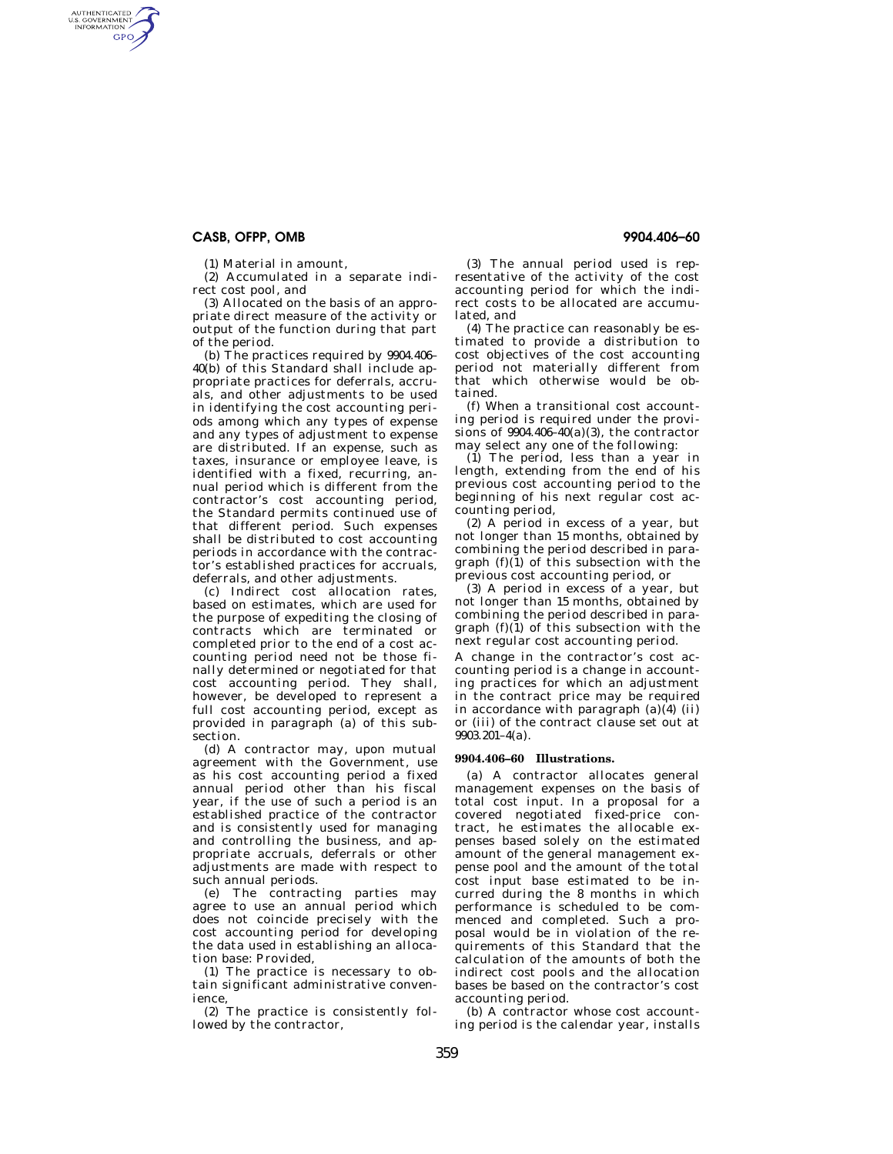## **CASB, OFPP, OMB 9904.406–60**

AUTHENTICATED<br>U.S. GOVERNMENT<br>INFORMATION **GPO** 

(1) Material in amount,

(2) Accumulated in a separate indirect cost pool, and

(3) Allocated on the basis of an appropriate direct measure of the activity or output of the function during that part of the period.

(b) The practices required by 9904.406– 40(b) of this Standard shall include appropriate practices for deferrals, accruals, and other adjustments to be used in identifying the cost accounting periods among which any types of expense and any types of adjustment to expense are distributed. If an expense, such as taxes, insurance or employee leave, is identified with a fixed, recurring, annual period which is different from the contractor's cost accounting period, the Standard permits continued use of that different period. Such expenses shall be distributed to cost accounting periods in accordance with the contractor's established practices for accruals, deferrals, and other adjustments.

(c) Indirect cost allocation rates, based on estimates, which are used for the purpose of expediting the closing of contracts which are terminated or completed prior to the end of a cost accounting period need not be those finally determined or negotiated for that cost accounting period. They shall, however, be developed to represent a full cost accounting period, except as provided in paragraph (a) of this subsection.

(d) A contractor may, upon mutual agreement with the Government, use as his cost accounting period a fixed annual period other than his fiscal year, if the use of such a period is an established practice of the contractor and is consistently used for managing and controlling the business, and appropriate accruals, deferrals or other adjustments are made with respect to such annual periods.

(e) The contracting parties may agree to use an annual period which does not coincide precisely with the cost accounting period for developing the data used in establishing an allocation base: Provided,

(1) The practice is necessary to obtain significant administrative convenience,

(2) The practice is consistently followed by the contractor,

(3) The annual period used is representative of the activity of the cost accounting period for which the indirect costs to be allocated are accumulated, and

(4) The practice can reasonably be estimated to provide a distribution to cost objectives of the cost accounting period not materially different from that which otherwise would be obtained.

(f) When a transitional cost accounting period is required under the provisions of  $9904.406-40(a)(3)$ , the contractor may select any one of the following:

(1) The period, less than a year in length, extending from the end of his previous cost accounting period to the beginning of his next regular cost accounting period,

(2) A period in excess of a year, but not longer than 15 months, obtained by combining the period described in paragraph (f)(1) of this subsection with the previous cost accounting period, or

(3) A period in excess of a year, but not longer than 15 months, obtained by combining the period described in paragraph  $(f)(1)$  of this subsection with the next regular cost accounting period.

A change in the contractor's cost accounting period is a change in accounting practices for which an adjustment in the contract price may be required in accordance with paragraph (a)(4) (ii) or (iii) of the contract clause set out at 9903.201–4(a).

## **9904.406–60 Illustrations.**

(a) A contractor allocates general management expenses on the basis of total cost input. In a proposal for a covered negotiated fixed-price contract, he estimates the allocable expenses based solely on the estimated amount of the general management expense pool and the amount of the total cost input base estimated to be incurred during the 8 months in which performance is scheduled to be commenced and completed. Such a proposal would be in violation of the requirements of this Standard that the calculation of the amounts of both the indirect cost pools and the allocation bases be based on the contractor's cost accounting period.

(b) A contractor whose cost accounting period is the calendar year, installs